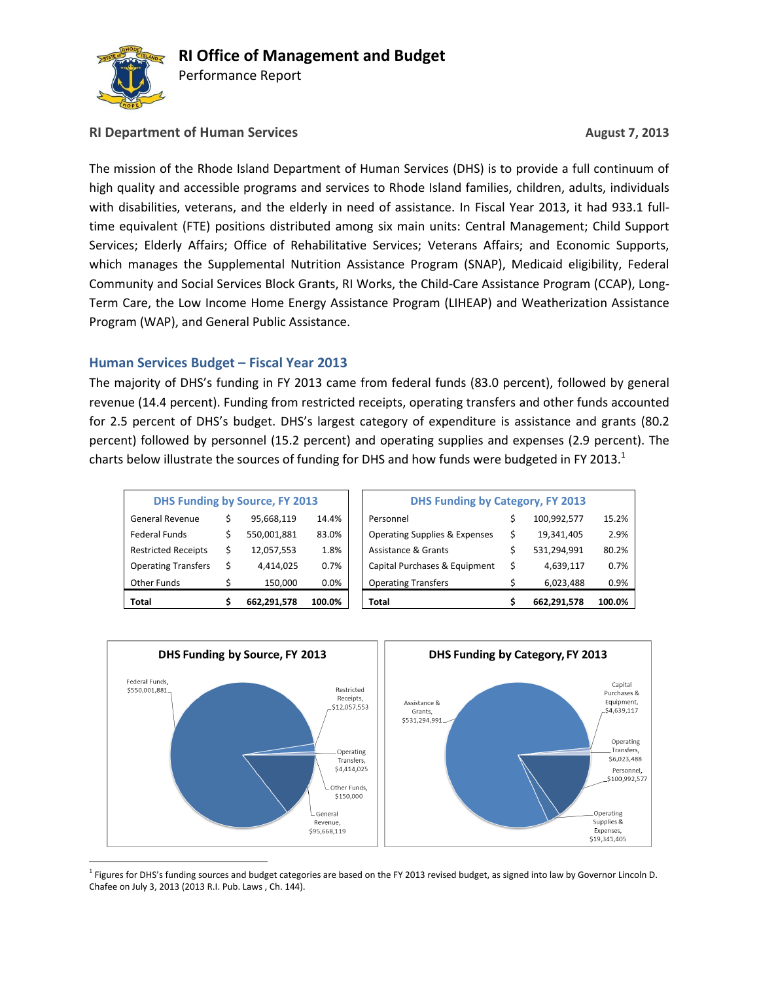

Performance Report

### **RI Department of Human Services August 7, 2013**

The mission of the Rhode Island Department of Human Services (DHS) is to provide a full continuum of high quality and accessible programs and services to Rhode Island families, children, adults, individuals with disabilities, veterans, and the elderly in need of assistance. In Fiscal Year 2013, it had 933.1 fulltime equivalent (FTE) positions distributed among six main units: Central Management; Child Support Services; Elderly Affairs; Office of Rehabilitative Services; Veterans Affairs; and Economic Supports, which manages the Supplemental Nutrition Assistance Program (SNAP), Medicaid eligibility, Federal Community and Social Services Block Grants, RI Works, the Child-Care Assistance Program (CCAP), Long-Term Care, the Low Income Home Energy Assistance Program (LIHEAP) and Weatherization Assistance Program (WAP), and General Public Assistance.

### **Human Services Budget – Fiscal Year 2013**

The majority of DHS's funding in FY 2013 came from federal funds (83.0 percent), followed by general revenue (14.4 percent). Funding from restricted receipts, operating transfers and other funds accounted for 2.5 percent of DHS's budget. DHS's largest category of expenditure is assistance and grants (80.2 percent) followed by personnel (15.2 percent) and operating supplies and expenses (2.9 percent). The charts below illustrate the sources of funding for DHS and how funds were budgeted in FY 2013.<sup>1</sup>

| <b>DHS Funding by Source, FY 2013</b> |   |             |         |  |  |  |  |  |  |
|---------------------------------------|---|-------------|---------|--|--|--|--|--|--|
| General Revenue                       | Ś | 95,668,119  | 14.4%   |  |  |  |  |  |  |
| <b>Federal Funds</b>                  | Ś | 550,001,881 | 83.0%   |  |  |  |  |  |  |
| <b>Restricted Receipts</b>            | Ś | 12,057,553  | 1.8%    |  |  |  |  |  |  |
| <b>Operating Transfers</b>            | Ś | 4,414,025   | 0.7%    |  |  |  |  |  |  |
| <b>Other Funds</b>                    |   | 150,000     | $0.0\%$ |  |  |  |  |  |  |
| Total                                 |   | 662,291,578 | 100.0%  |  |  |  |  |  |  |

| Total                      |   | 662,291,578                           | 100.0% | Total                                    |    | 662,291,578 | 100.0% |
|----------------------------|---|---------------------------------------|--------|------------------------------------------|----|-------------|--------|
| Other Funds                |   | 150,000                               | 0.0%   | <b>Operating Transfers</b>               |    | 6,023,488   | 0.9%   |
| <b>Operating Transfers</b> | Ś | 4,414,025                             | 0.7%   | Capital Purchases & Equipment            | Ś  | 4,639,117   | 0.7%   |
| <b>Restricted Receipts</b> | Ś | 12,057,553                            | 1.8%   | Assistance & Grants                      |    | 531,294,991 | 80.2%  |
| Federal Funds              |   | 550,001,881                           | 83.0%  | <b>Operating Supplies &amp; Expenses</b> | \$ | 19,341,405  | 2.9%   |
| General Revenue            |   | 95,668,119                            | 14.4%  | Personnel                                |    | 100,992,577 | 15.2%  |
|                            |   | <b>DHS Funding by Source, FY 2013</b> |        | <b>DHS Funding by Category, FY 2013</b>  |    |             |        |



<sup>1</sup> Figures for DHS's funding sources and budget categories are based on the FY 2013 revised budget, as signed into law by Governor Lincoln D. Chafee on July 3, 2013 (2013 R.I. Pub. Laws , Ch. 144).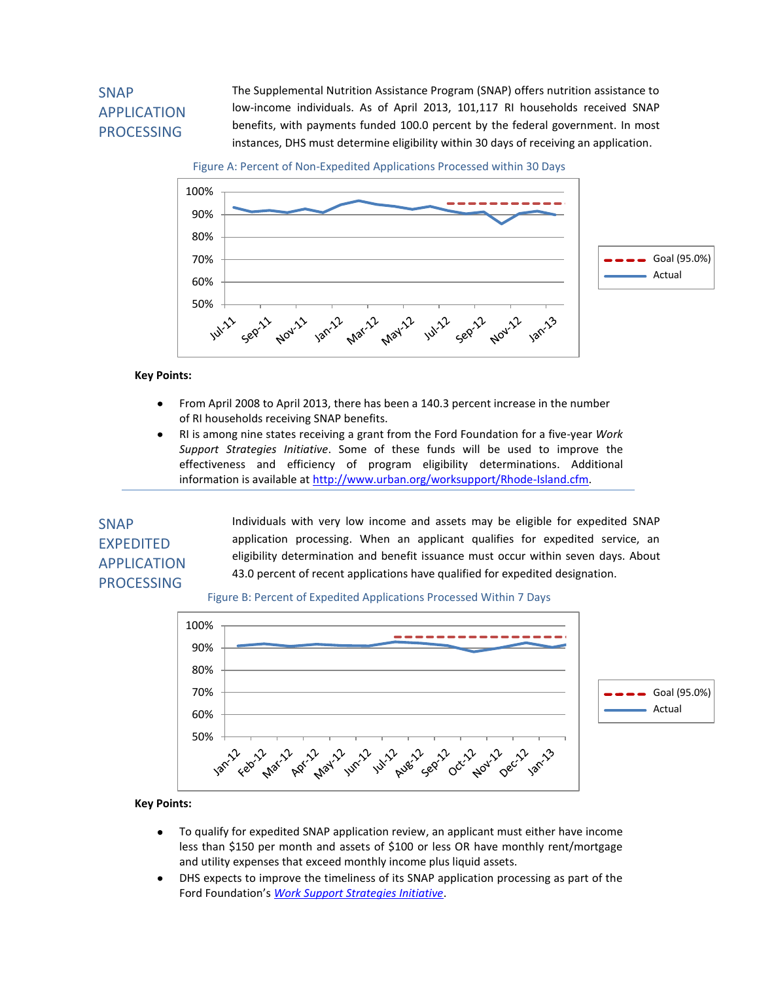# SNAP APPLICATION PROCESSING

The Supplemental Nutrition Assistance Program (SNAP) offers nutrition assistance to low-income individuals. As of April 2013, 101,117 RI households received SNAP benefits, with payments funded 100.0 percent by the federal government. In most instances, DHS must determine eligibility within 30 days of receiving an application.

Figure A: Percent of Non-Expedited Applications Processed within 30 Days



**Key Points:**

- From April 2008 to April 2013, there has been a 140.3 percent increase in the number  $\bullet$ of RI households receiving SNAP benefits.
- RI is among nine states receiving a grant from the Ford Foundation for a five-year *Work*   $\bullet$ *Support Strategies Initiative*. Some of these funds will be used to improve the effectiveness and efficiency of program eligibility determinations. Additional information is available at [http://www.urban.org/worksupport/Rhode-Island.cfm.](http://www.urban.org/worksupport/Rhode-Island.cfm)

## SNAP EXPEDITED APPLICATION PROCESSING

Individuals with very low income and assets may be eligible for expedited SNAP application processing. When an applicant qualifies for expedited service, an eligibility determination and benefit issuance must occur within seven days. About 43.0 percent of recent applications have qualified for expedited designation.

### Figure B: Percent of Expedited Applications Processed Within 7 Days



- To qualify for expedited SNAP application review, an applicant must either have income  $\bullet$ less than \$150 per month and assets of \$100 or less OR have monthly rent/mortgage and utility expenses that exceed monthly income plus liquid assets.
- DHS expects to improve the timeliness of its SNAP application processing as part of the  $\bullet$ Ford Foundation's *[Work Support Strategies Initiative](http://www.urban.org/worksupport/Rhode-Island.cfm)*.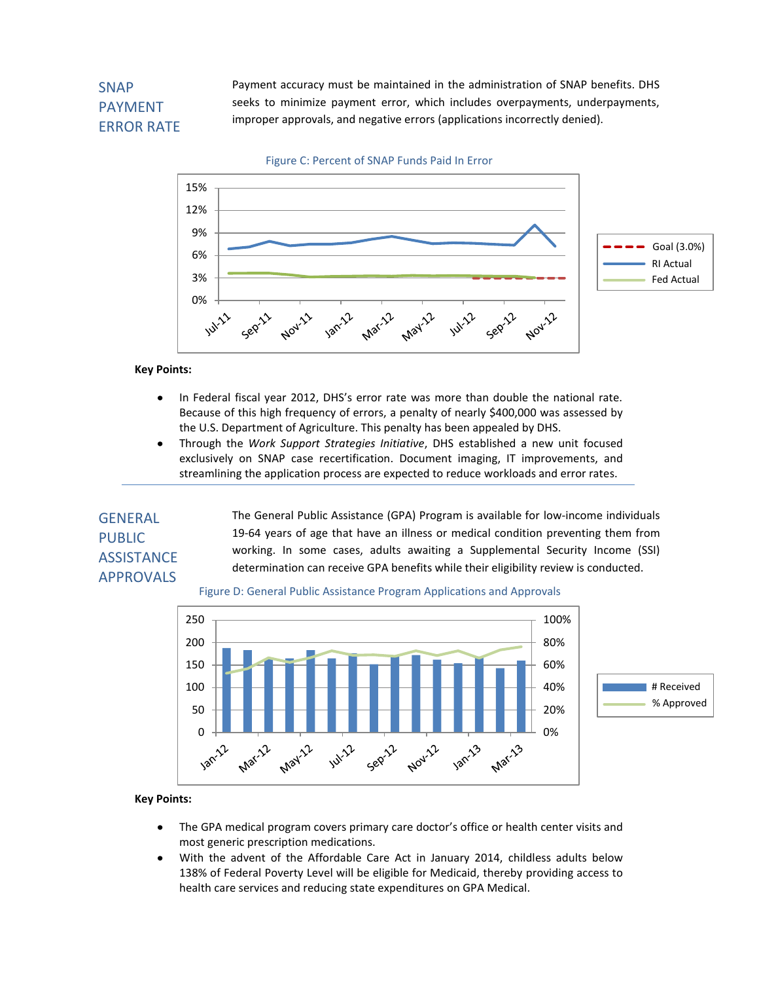# **SNAP** PAYMENT ERROR RATE

Payment accuracy must be maintained in the administration of SNAP benefits. DHS seeks to minimize payment error, which includes overpayments, underpayments, improper approvals, and negative errors (applications incorrectly denied).





#### **Key Points:**

- In Federal fiscal year 2012, DHS's error rate was more than double the national rate.  $\bullet$ Because of this high frequency of errors, a penalty of nearly \$400,000 was assessed by the U.S. Department of Agriculture. This penalty has been appealed by DHS.
- Through the *Work Support Strategies Initiative*, DHS established a new unit focused exclusively on SNAP case recertification. Document imaging, IT improvements, and streamlining the application process are expected to reduce workloads and error rates.

## GENERAL PUBLIC **ASSISTANCE APPROVALS**

The General Public Assistance (GPA) Program is available for low-income individuals 19-64 years of age that have an illness or medical condition preventing them from working. In some cases, adults awaiting a Supplemental Security Income (SSI) determination can receive GPA benefits while their eligibility review is conducted.





- $\bullet$ The GPA medical program covers primary care doctor's office or health center visits and most generic prescription medications.
- With the advent of the Affordable Care Act in January 2014, childless adults below  $\bullet$ 138% of Federal Poverty Level will be eligible for Medicaid, thereby providing access to health care services and reducing state expenditures on GPA Medical.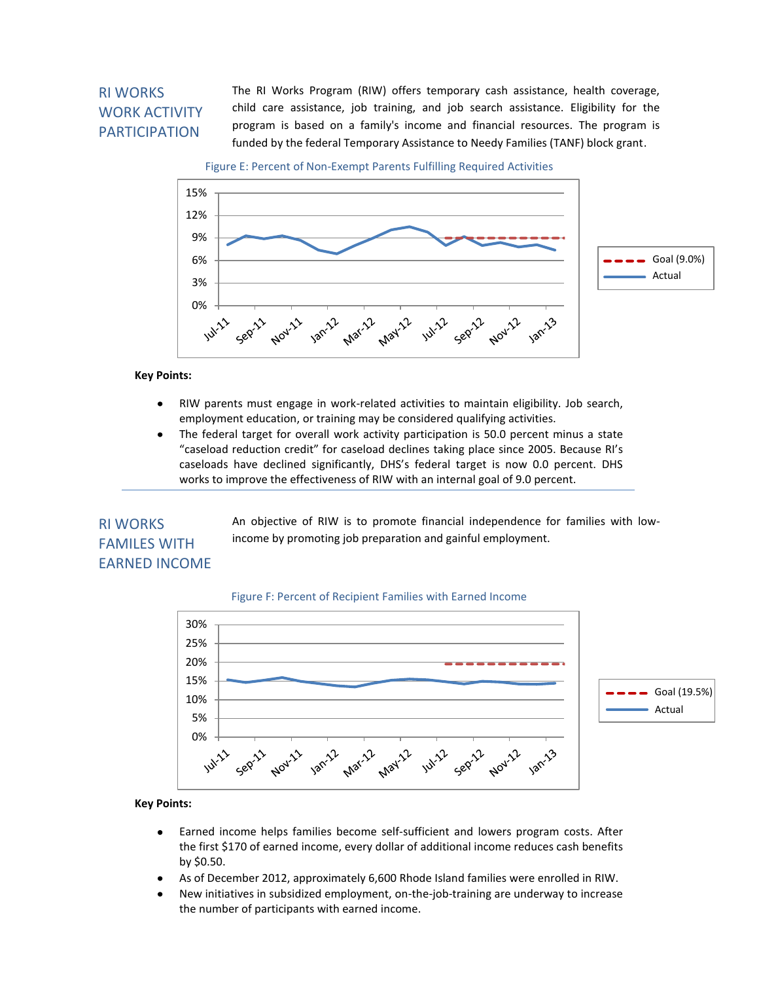# RI WORKS WORK ACTIVITY PARTICIPATION

The RI Works Program (RIW) offers temporary cash assistance, health coverage, child care assistance, job training, and job search assistance. Eligibility for the program is based on a family's income and financial resources. The program is funded by the federal Temporary Assistance to Needy Families (TANF) block grant.

Figure E: Percent of Non-Exempt Parents Fulfilling Required Activities



### **Key Points:**

- RIW parents must engage in work-related activities to maintain eligibility. Job search,  $\bullet$ employment education, or training may be considered qualifying activities.
- The federal target for overall work activity participation is 50.0 percent minus a state  $\bullet$ "caseload reduction credit" for caseload declines taking place since 2005. Because RI's caseloads have declined significantly, DHS's federal target is now 0.0 percent. DHS works to improve the effectiveness of RIW with an internal goal of 9.0 percent.

### RI WORKS FAMILES WITH EARNED INCOME

An objective of RIW is to promote financial independence for families with lowincome by promoting job preparation and gainful employment.

### Figure F: Percent of Recipient Families with Earned Income



- Earned income helps families become self-sufficient and lowers program costs. After  $\bullet$ the first \$170 of earned income, every dollar of additional income reduces cash benefits by \$0.50.
- As of December 2012, approximately 6,600 Rhode Island families were enrolled in RIW.  $\bullet$
- New initiatives in subsidized employment, on-the-job-training are underway to increase the number of participants with earned income.